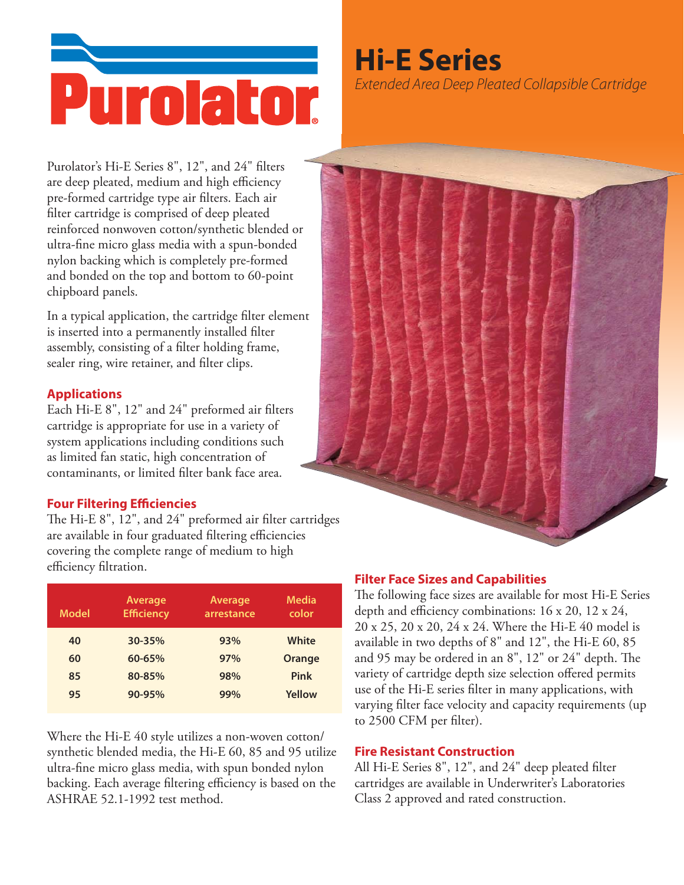

# **Hi-E Series**

Extended Area Deep Pleated Collapsible Cartridge

Purolator's Hi-E Series 8", 12", and 24" filters are deep pleated, medium and high efficiency pre-formed cartridge type air filters. Each air filter cartridge is comprised of deep pleated reinforced nonwoven cotton/synthetic blended or ultra-fine micro glass media with a spun-bonded nylon backing which is completely pre-formed and bonded on the top and bottom to 60-point chipboard panels.

In a typical application, the cartridge filter element is inserted into a permanently installed filter assembly, consisting of a filter holding frame, sealer ring, wire retainer, and filter clips.

#### **Applications**

Each Hi-E 8", 12" and 24" preformed air filters cartridge is appropriate for use in a variety of system applications including conditions such as limited fan static, high concentration of contaminants, or limited filter bank face area.

### **Four Filtering Efficiencies**

The Hi-E 8", 12", and 24" preformed air filter cartridges are available in four graduated filtering efficiencies covering the complete range of medium to high efficiency filtration.

| <b>Model</b> | Average<br><b>Efficiency</b> | Average<br>arrestance | <b>Media</b><br>color |
|--------------|------------------------------|-----------------------|-----------------------|
| 40           | $30 - 35%$                   | 93%                   | White                 |
| 60           | $60 - 65%$                   | 97%                   | <b>Orange</b>         |
| 85           | 80-85%                       | 98%                   | <b>Pink</b>           |
| 95           | 90-95%                       | 99%                   | Yellow                |
|              |                              |                       |                       |

Where the Hi-E 40 style utilizes a non-woven cotton/ synthetic blended media, the Hi-E 60, 85 and 95 utilize ultra-fine micro glass media, with spun bonded nylon backing. Each average filtering efficiency is based on the ASHRAE 52.1-1992 test method.

## **Filter Face Sizes and Capabilities**

The following face sizes are available for most Hi-E Series depth and efficiency combinations: 16 x 20, 12 x 24, 20 x 25, 20 x 20, 24 x 24. Where the Hi-E 40 model is available in two depths of 8" and 12", the Hi-E 60, 85 and 95 may be ordered in an 8", 12" or 24" depth. The variety of cartridge depth size selection offered permits use of the Hi-E series filter in many applications, with varying filter face velocity and capacity requirements (up to 2500 CFM per filter).

#### **Fire Resistant Construction**

All Hi-E Series 8", 12", and 24" deep pleated filter cartridges are available in Underwriter's Laboratories Class 2 approved and rated construction.